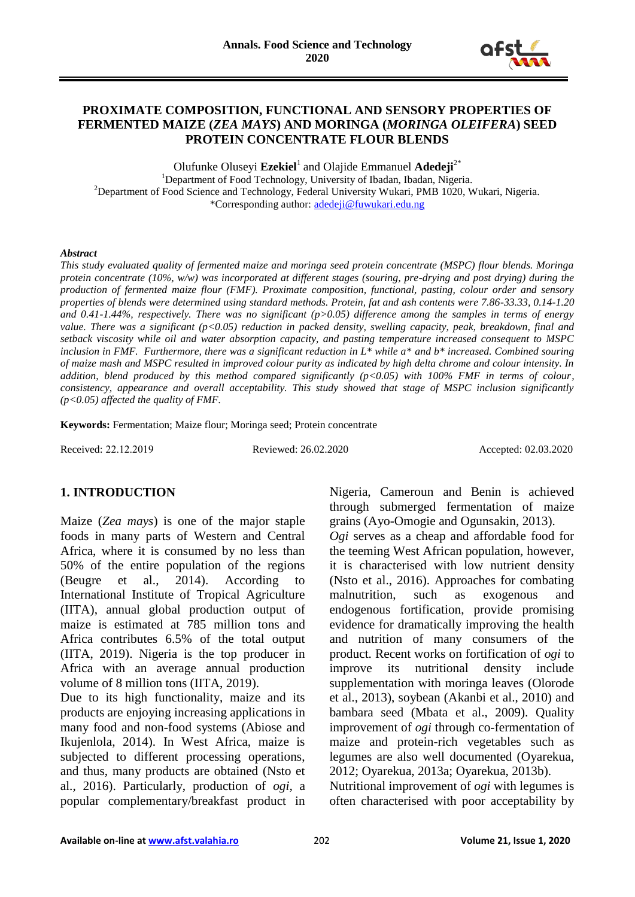

### **PROXIMATE COMPOSITION, FUNCTIONAL AND SENSORY PROPERTIES OF FERMENTED MAIZE (***ZEA MAYS***) AND MORINGA (***MORINGA OLEIFERA***) SEED PROTEIN CONCENTRATE FLOUR BLENDS**

Olufunke Oluseyi **Ezekiel**<sup>1</sup> and Olajide Emmanuel **Adedeji**2\* <sup>1</sup>Department of Food Technology, University of Ibadan, Ibadan, Nigeria. <sup>2</sup>Department of Food Science and Technology, Federal University Wukari, PMB 1020, Wukari, Nigeria. \*Corresponding author: [adedeji@fuwukari.edu.ng](mailto:adedeji@fuwukari.edu.ng)

#### *Abstract*

*This study evaluated quality of fermented maize and moringa seed protein concentrate (MSPC) flour blends. Moringa protein concentrate (10%, w/w) was incorporated at different stages (souring, pre-drying and post drying) during the production of fermented maize flour (FMF). Proximate composition, functional, pasting, colour order and sensory properties of blends were determined using standard methods. Protein, fat and ash contents were 7.86-33.33, 0.14-1.20 and 0.41-1.44%, respectively. There was no significant (p>0.05) difference among the samples in terms of energy value. There was a significant (p<0.05) reduction in packed density, swelling capacity, peak, breakdown, final and setback viscosity while oil and water absorption capacity, and pasting temperature increased consequent to MSPC inclusion in FMF. Furthermore, there was a significant reduction in L\* while a\* and b\* increased. Combined souring of maize mash and MSPC resulted in improved colour purity as indicated by high delta chrome and colour intensity. In addition, blend produced by this method compared significantly (p<0.05) with 100% FMF in terms of colour, consistency, appearance and overall acceptability. This study showed that stage of MSPC inclusion significantly (p<0.05) affected the quality of FMF.*

**Keywords:** Fermentation; Maize flour; Moringa seed; Protein concentrate

Received: 22.12.2019 Reviewed: 26.02.2020 Accepted: 02.03.2020

### **1. INTRODUCTION**

Maize (*Zea mays*) is one of the major staple foods in many parts of Western and Central Africa, where it is consumed by no less than 50% of the entire population of the regions (Beugre et al., 2014). According to International Institute of Tropical Agriculture (IITA), annual global production output of maize is estimated at 785 million tons and Africa contributes 6.5% of the total output (IITA, 2019). Nigeria is the top producer in Africa with an average annual production volume of 8 million tons (IITA, 2019).

Due to its high functionality, maize and its products are enjoying increasing applications in many food and non-food systems (Abiose and Ikujenlola, 2014). In West Africa, maize is subjected to different processing operations, and thus, many products are obtained (Nsto et al., 2016). Particularly, production of *ogi,* a popular complementary/breakfast product in Nigeria, Cameroun and Benin is achieved through submerged fermentation of maize grains (Ayo-Omogie and Ogunsakin, 2013).

*Ogi* serves as a cheap and affordable food for the teeming West African population, however, it is characterised with low nutrient density (Nsto et al., 2016). Approaches for combating malnutrition, such as exogenous and endogenous fortification, provide promising evidence for dramatically improving the health and nutrition of many consumers of the product. Recent works on fortification of *ogi* to improve its nutritional density include supplementation with moringa leaves (Olorode et al., 2013), soybean (Akanbi et al., 2010) and bambara seed (Mbata et al., 2009). Quality improvement of *ogi* through co-fermentation of maize and protein-rich vegetables such as legumes are also well documented (Oyarekua, 2012; Oyarekua, 2013a; Oyarekua, 2013b).

Nutritional improvement of *ogi* with legumes is often characterised with poor acceptability by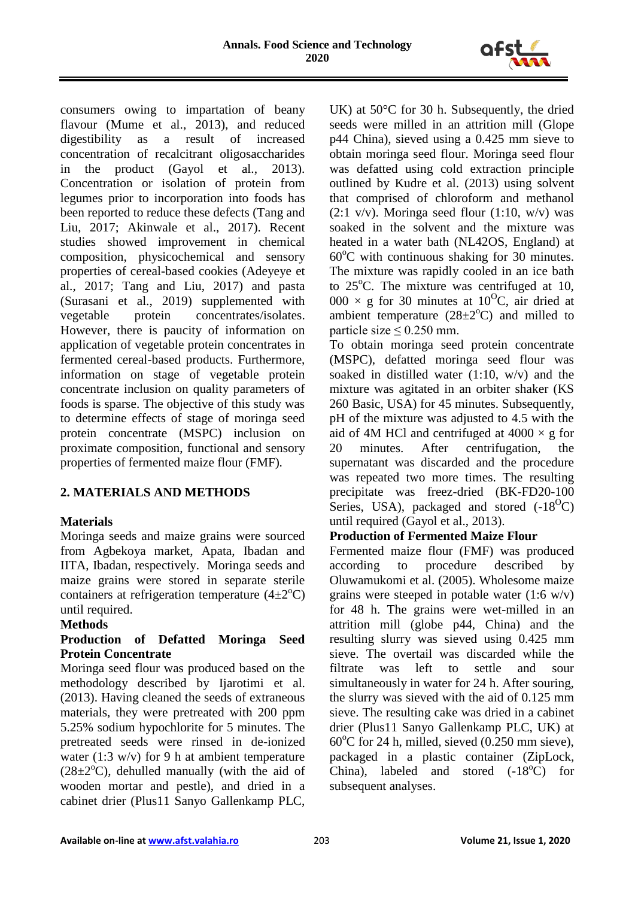

consumers owing to impartation of beany flavour (Mume et al., 2013), and reduced digestibility as a result of increased concentration of recalcitrant oligosaccharides in the product (Gayol et al., 2013). Concentration or isolation of protein from legumes prior to incorporation into foods has been reported to reduce these defects (Tang and Liu, 2017; Akinwale et al., 2017). Recent studies showed improvement in chemical composition, physicochemical and sensory properties of cereal-based cookies (Adeyeye et al., 2017; Tang and Liu, 2017) and pasta (Surasani et al., 2019) supplemented with vegetable protein concentrates/isolates. However, there is paucity of information on application of vegetable protein concentrates in fermented cereal-based products. Furthermore, information on stage of vegetable protein concentrate inclusion on quality parameters of foods is sparse. The objective of this study was to determine effects of stage of moringa seed protein concentrate (MSPC) inclusion on proximate composition, functional and sensory properties of fermented maize flour (FMF)*.* 

# **2. MATERIALS AND METHODS**

### **Materials**

Moringa seeds and maize grains were sourced from Agbekoya market, Apata, Ibadan and IITA, Ibadan, respectively. Moringa seeds and maize grains were stored in separate sterile containers at refrigeration temperature  $(4\pm 2^{\circ}C)$ until required.

#### **Methods**

### **Production of Defatted Moringa Seed Protein Concentrate**

Moringa seed flour was produced based on the methodology described by Ijarotimi et al. (2013). Having cleaned the seeds of extraneous materials, they were pretreated with 200 ppm 5.25% sodium hypochlorite for 5 minutes. The pretreated seeds were rinsed in de-ionized water (1:3 w/v) for 9 h at ambient temperature  $(28\pm2\degree C)$ , dehulled manually (with the aid of wooden mortar and pestle), and dried in a cabinet drier (Plus11 Sanyo Gallenkamp PLC,

UK) at 50°C for 30 h. Subsequently, the dried seeds were milled in an attrition mill (Glope p44 China), sieved using a 0.425 mm sieve to obtain moringa seed flour. Moringa seed flour was defatted using cold extraction principle outlined by Kudre et al. (2013) using solvent that comprised of chloroform and methanol  $(2:1 \text{ v/v})$ . Moringa seed flour  $(1:10, \text{ w/v})$  was soaked in the solvent and the mixture was heated in a water bath (NL42OS, England) at  $60^{\circ}$ C with continuous shaking for 30 minutes. The mixture was rapidly cooled in an ice bath to  $25^{\circ}$ C. The mixture was centrifuged at 10, 000  $\times$  g for 30 minutes at 10<sup>o</sup>C, air dried at ambient temperature  $(28\pm2\degree C)$  and milled to particle size  $\leq 0.250$  mm.

To obtain moringa seed protein concentrate (MSPC), defatted moringa seed flour was soaked in distilled water (1:10, w/v) and the mixture was agitated in an orbiter shaker (KS 260 Basic, USA) for 45 minutes. Subsequently, pH of the mixture was adjusted to 4.5 with the aid of 4M HCl and centrifuged at  $4000 \times g$  for 20 minutes. After centrifugation, the supernatant was discarded and the procedure was repeated two more times. The resulting precipitate was freez-dried (BK-FD20-100 Series, USA), packaged and stored  $(-18^{\circ}C)$ until required (Gayol et al., 2013).

### **Production of Fermented Maize Flour**

Fermented maize flour (FMF) was produced according to procedure described by Oluwamukomi et al. (2005). Wholesome maize grains were steeped in potable water (1:6 w/v) for 48 h. The grains were wet-milled in an attrition mill (globe p44, China) and the resulting slurry was sieved using 0.425 mm sieve. The overtail was discarded while the filtrate was left to settle and sour simultaneously in water for 24 h. After souring, the slurry was sieved with the aid of 0.125 mm sieve. The resulting cake was dried in a cabinet drier (Plus11 Sanyo Gallenkamp PLC, UK) at  $60^{\circ}$ C for 24 h, milled, sieved (0.250 mm sieve), packaged in a plastic container (ZipLock, China), labeled and stored  $(-18^{\circ}C)$  for subsequent analyses.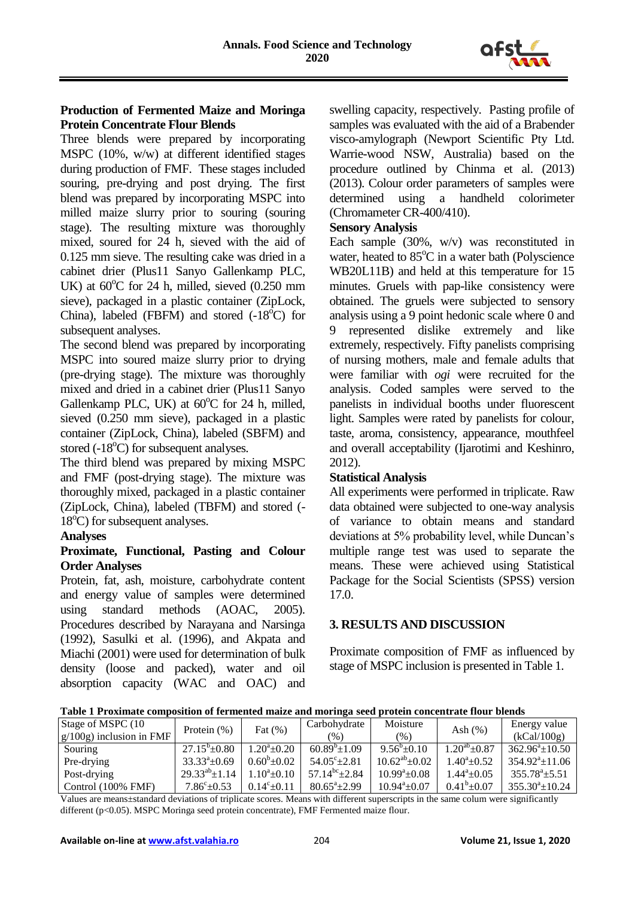

# **Production of Fermented Maize and Moringa Protein Concentrate Flour Blends**

Three blends were prepared by incorporating MSPC (10%, w/w) at different identified stages during production of FMF. These stages included souring, pre-drying and post drying. The first blend was prepared by incorporating MSPC into milled maize slurry prior to souring (souring stage). The resulting mixture was thoroughly mixed, soured for 24 h, sieved with the aid of 0.125 mm sieve. The resulting cake was dried in a cabinet drier (Plus11 Sanyo Gallenkamp PLC, UK) at  $60^{\circ}$ C for 24 h, milled, sieved  $(0.250 \text{ mm})$ sieve), packaged in a plastic container (ZipLock, China), labeled (FBFM) and stored  $(-18^{\circ}C)$  for subsequent analyses.

The second blend was prepared by incorporating MSPC into soured maize slurry prior to drying (pre-drying stage). The mixture was thoroughly mixed and dried in a cabinet drier (Plus11 Sanyo Gallenkamp PLC, UK) at  $60^{\circ}$ C for 24 h, milled, sieved (0.250 mm sieve), packaged in a plastic container (ZipLock, China), labeled (SBFM) and stored  $(-18^{\circ}C)$  for subsequent analyses.

The third blend was prepared by mixing MSPC and FMF (post-drying stage). The mixture was thoroughly mixed, packaged in a plastic container (ZipLock, China), labeled (TBFM) and stored (-  $18^{\circ}$ C) for subsequent analyses.

### **Analyses**

### **Proximate, Functional, Pasting and Colour Order Analyses**

Protein, fat, ash, moisture, carbohydrate content and energy value of samples were determined using standard methods (AOAC, 2005). Procedures described by Narayana and Narsinga (1992), Sasulki et al. (1996), and Akpata and Miachi (2001) were used for determination of bulk density (loose and packed), water and oil absorption capacity (WAC and OAC) and

swelling capacity, respectively. Pasting profile of samples was evaluated with the aid of a Brabender visco-amylograph (Newport Scientific Pty Ltd. Warrie-wood NSW, Australia) based on the procedure outlined by Chinma et al. (2013) (2013). Colour order parameters of samples were determined using a handheld colorimeter (Chromameter CR-400/410).

#### **Sensory Analysis**

Each sample  $(30\%$ , w/v) was reconstituted in water, heated to  $85^{\circ}$ C in a water bath (Polyscience WB20L11B) and held at this temperature for 15 minutes. Gruels with pap-like consistency were obtained. The gruels were subjected to sensory analysis using a 9 point hedonic scale where 0 and 9 represented dislike extremely and like extremely, respectively. Fifty panelists comprising of nursing mothers, male and female adults that were familiar with *ogi* were recruited for the analysis. Coded samples were served to the panelists in individual booths under fluorescent light. Samples were rated by panelists for colour, taste, aroma, consistency, appearance, mouthfeel and overall acceptability (Ijarotimi and Keshinro, 2012).

### **Statistical Analysis**

All experiments were performed in triplicate. Raw data obtained were subjected to one-way analysis of variance to obtain means and standard deviations at 5% probability level, while Duncan's multiple range test was used to separate the means. These were achieved using Statistical Package for the Social Scientists (SPSS) version 17.0.

# **3. RESULTS AND DISCUSSION**

Proximate composition of FMF as influenced by stage of MSPC inclusion is presented in Table 1.

| Table 1 Proximate composition of fermented maize and moringa seed protein concentrate flour blends |  |  |  |
|----------------------------------------------------------------------------------------------------|--|--|--|
|                                                                                                    |  |  |  |

| Stage of MSPC (10           | Protein $(\%)$             | Fat $(\% )$           | Carbohydrate           | Moisture              | Ash $(\%)$          | Energy value           |
|-----------------------------|----------------------------|-----------------------|------------------------|-----------------------|---------------------|------------------------|
| $g/100g$ ) inclusion in FMF |                            |                       | $\frac{9}{6}$          | (%)                   |                     | (kCal/100g)            |
| Souring                     | $27.15^{\circ}$ $\pm 0.80$ | $1.20^a \pm 0.20$     | $60.89^{\circ}$ ± 1.09 | $9.56^{\circ}$ ± 0.10 | $1.20^{ab}$ ± 0.87  | $362.96^a \pm 10.50$   |
| Pre-drying                  | $33.33^{\circ} \pm 0.69$   | $0.60^{\rm b}$ ± 0.02 | $54.05^{\circ}$ ± 2.81 | $10.62^{ab} \pm 0.02$ | $1.40^a \pm 0.52$   | $354.92^a \pm 11.06$   |
| Post-drying                 | $29.33^{ab} \pm 1.14$      | $1.10^a \pm 0.10$     | $57.14^{bc} \pm 2.84$  | $10.99^{\circ}+0.08$  | $1.44^{\circ}+0.05$ | $355.78^{\circ}$ ±5.51 |
| Control $(100\%$ FMF)       | $7.86^{\circ} \pm 0.53$    | $0.14^{\circ}$ + 0.11 | $80.65^{\circ}$ ± 2.99 | $10.94^a \pm 0.07$    | $0.41^b \pm 0.07$   | $355.30^a \pm 10.24$   |

Values are means±standard deviations of triplicate scores. Means with different superscripts in the same colum were significantly different (p<0.05). MSPC Moringa seed protein concentrate), FMF Fermented maize flour.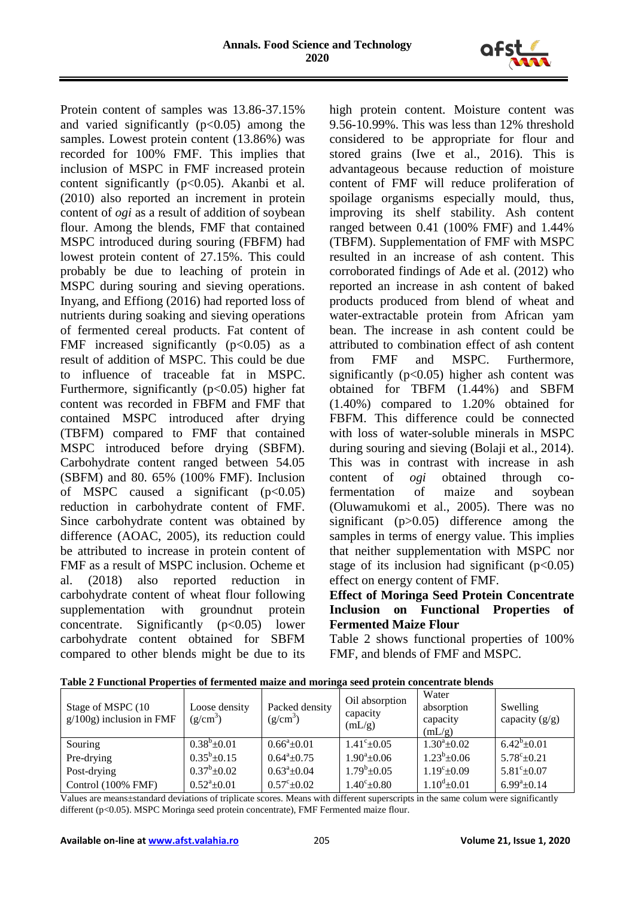

Protein content of samples was 13.86-37.15% and varied significantly  $(p<0.05)$  among the samples. Lowest protein content (13.86%) was recorded for 100% FMF. This implies that inclusion of MSPC in FMF increased protein content significantly  $(p<0.05)$ . Akanbi et al. (2010) also reported an increment in protein content of *ogi* as a result of addition of soybean flour. Among the blends, FMF that contained MSPC introduced during souring (FBFM) had lowest protein content of 27.15%. This could probably be due to leaching of protein in MSPC during souring and sieving operations. Inyang, and Effiong (2016) had reported loss of nutrients during soaking and sieving operations of fermented cereal products. Fat content of FMF increased significantly  $(p<0.05)$  as a result of addition of MSPC. This could be due to influence of traceable fat in MSPC. Furthermore, significantly  $(p<0.05)$  higher fat content was recorded in FBFM and FMF that contained MSPC introduced after drying (TBFM) compared to FMF that contained MSPC introduced before drying (SBFM). Carbohydrate content ranged between 54.05 (SBFM) and 80. 65% (100% FMF). Inclusion of MSPC caused a significant  $(p<0.05)$ reduction in carbohydrate content of FMF. Since carbohydrate content was obtained by difference (AOAC, 2005), its reduction could be attributed to increase in protein content of FMF as a result of MSPC inclusion. Ocheme et al. (2018) also reported reduction in carbohydrate content of wheat flour following supplementation with groundnut protein concentrate. Significantly  $(p<0.05)$  lower carbohydrate content obtained for SBFM compared to other blends might be due to its high protein content. Moisture content was 9.56-10.99%. This was less than 12% threshold considered to be appropriate for flour and stored grains (Iwe et al., 2016). This is advantageous because reduction of moisture content of FMF will reduce proliferation of spoilage organisms especially mould, thus, improving its shelf stability. Ash content ranged between 0.41 (100% FMF) and 1.44% (TBFM). Supplementation of FMF with MSPC resulted in an increase of ash content. This corroborated findings of Ade et al. (2012) who reported an increase in ash content of baked products produced from blend of wheat and water-extractable protein from African yam bean. The increase in ash content could be attributed to combination effect of ash content from FMF and MSPC. Furthermore, significantly  $(p<0.05)$  higher ash content was obtained for TBFM (1.44%) and SBFM (1.40%) compared to 1.20% obtained for FBFM. This difference could be connected with loss of water-soluble minerals in MSPC during souring and sieving (Bolaji et al., 2014). This was in contrast with increase in ash content of *ogi* obtained through cofermentation of maize and soybean (Oluwamukomi et al., 2005). There was no significant (p>0.05) difference among the samples in terms of energy value. This implies that neither supplementation with MSPC nor stage of its inclusion had significant  $(p<0.05)$ effect on energy content of FMF.

# **Effect of Moringa Seed Protein Concentrate Inclusion on Functional Properties of Fermented Maize Flour**

Table 2 shows functional properties of 100% FMF, and blends of FMF and MSPC.

| Stage of MSPC (10<br>$g/100g$ ) inclusion in FMF | Loose density<br>$(g/cm^3)$ | Packed density<br>$(g/cm^3)$ | Oil absorption<br>capacity<br>(mL/g) | Water<br>absorption<br>capacity<br>(mL/g) | Swelling<br>capacity $(g/g)$ |
|--------------------------------------------------|-----------------------------|------------------------------|--------------------------------------|-------------------------------------------|------------------------------|
| Souring                                          | $0.38^b \pm 0.01$           | $0.66^{\circ}+0.01$          | $1.41^{\circ}$ ±0.05                 | $1.30^a + 0.02$                           | $6.42^b \pm 0.01$            |
| Pre-drying                                       | $0.35^b \pm 0.15$           | $0.64^a \pm 0.75$            | $1.90^a \pm 0.06$                    | $1.23^b \pm 0.06$                         | $5.78^{\circ}$ ±0.21         |
| Post-drying                                      | $0.37^b \pm 0.02$           | $0.63^a \pm 0.04$            | $1.79^b \pm 0.05$                    | $1.19^{\circ}$ ± 0.09                     | $5.81^{\circ}$ ±0.07         |
| Control (100% FMF)                               | $0.52^a \pm 0.01$           | $0.57^{\circ}$ ±0.02         | $1.40^{\circ}$ ±0.80                 | $1.10^{\text{d}}\pm 0.01$                 | $6.99^{\mathrm{a}}\pm0.14$   |

**Table 2 Functional Properties of fermented maize and moringa seed protein concentrate blends** 

Values are means±standard deviations of triplicate scores. Means with different superscripts in the same colum were significantly different (p<0.05). MSPC Moringa seed protein concentrate), FMF Fermented maize flour.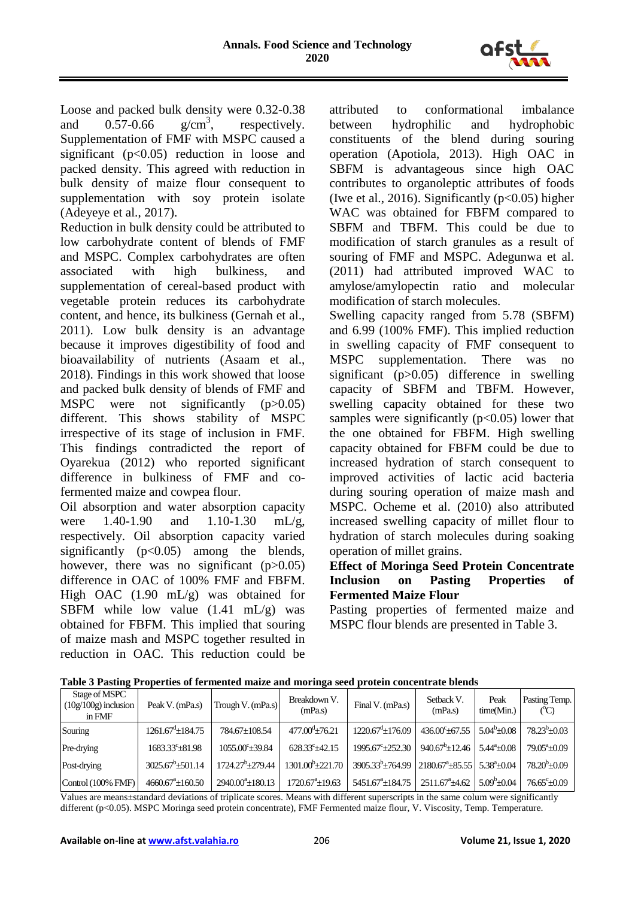

Loose and packed bulk density were 0.32-0.38<br>and 0.57-0.66  $g/cm^3$ , respectively. and  $0.57 - 0.66$ , respectively. Supplementation of FMF with MSPC caused a significant ( $p<0.05$ ) reduction in loose and packed density. This agreed with reduction in bulk density of maize flour consequent to supplementation with soy protein isolate (Adeyeye et al., 2017).

Reduction in bulk density could be attributed to low carbohydrate content of blends of FMF and MSPC. Complex carbohydrates are often associated with high bulkiness, and supplementation of cereal-based product with vegetable protein reduces its carbohydrate content, and hence, its bulkiness (Gernah et al., 2011). Low bulk density is an advantage because it improves digestibility of food and bioavailability of nutrients (Asaam et al., 2018). Findings in this work showed that loose and packed bulk density of blends of FMF and MSPC were not significantly (p>0.05) different. This shows stability of MSPC irrespective of its stage of inclusion in FMF. This findings contradicted the report of Oyarekua (2012) who reported significant difference in bulkiness of FMF and cofermented maize and cowpea flour.

Oil absorption and water absorption capacity were 1.40-1.90 and 1.10-1.30 mL/g, respectively. Oil absorption capacity varied significantly  $(p<0.05)$  among the blends, however, there was no significant  $(p>0.05)$ difference in OAC of 100% FMF and FBFM. High OAC (1.90 mL/g) was obtained for SBFM while low value  $(1.41 \text{ mL/g})$  was obtained for FBFM. This implied that souring of maize mash and MSPC together resulted in reduction in OAC. This reduction could be

attributed to conformational imbalance between hydrophilic and hydrophobic constituents of the blend during souring operation (Apotiola, 2013). High OAC in SBFM is advantageous since high OAC contributes to organoleptic attributes of foods (Iwe et al., 2016). Significantly  $(p<0.05)$  higher WAC was obtained for FBFM compared to SBFM and TBFM. This could be due to modification of starch granules as a result of souring of FMF and MSPC. Adegunwa et al. (2011) had attributed improved WAC to amylose/amylopectin ratio and molecular modification of starch molecules.

Swelling capacity ranged from 5.78 (SBFM) and 6.99 (100% FMF). This implied reduction in swelling capacity of FMF consequent to MSPC supplementation. There was no significant (p>0.05) difference in swelling capacity of SBFM and TBFM. However, swelling capacity obtained for these two samples were significantly  $(p<0.05)$  lower that the one obtained for FBFM. High swelling capacity obtained for FBFM could be due to increased hydration of starch consequent to improved activities of lactic acid bacteria during souring operation of maize mash and MSPC. Ocheme et al. (2010) also attributed increased swelling capacity of millet flour to hydration of starch molecules during soaking operation of millet grains.

### **Effect of Moringa Seed Protein Concentrate Inclusion on Pasting Properties of Fermented Maize Flour**

Pasting properties of fermented maize and MSPC flour blends are presented in Table 3.

| Stage of MSPC<br>$(10g/100g)$ inclusion<br>in FMF | Peak V. (mPa.s)           | Trough V. (mPa.s)         | Breakdown V.<br>(mPa.s)    | Final V. (mPa.s)                                                                               | Setback V.<br>(mPa.s)    | Peak<br>time(Min.)    | Pasting Temp.<br>(°C) |
|---------------------------------------------------|---------------------------|---------------------------|----------------------------|------------------------------------------------------------------------------------------------|--------------------------|-----------------------|-----------------------|
| Souring                                           | $1261.67^{\rm d}$ ±184.75 | 784.67±108.54             | $477.00^{\circ}$ ±76.21    | $1220.67^{\mathrm{d}} \pm 176.09$                                                              | $436.00^{\circ}$ ± 67.55 | $5.04^b \pm 0.08$     | $78.23^{b}+0.03$      |
| Pre-drying                                        | $1683.33^c \pm 81.98$     | 1055.00° ± 39.84          | $628.33^{\circ}$ ±42.15    | $1995.67^{\circ}+252.30$                                                                       | $940.67^{\circ}$ ±12.46  | $5.44^{\circ}$ ±0.08  | $79.05^{\circ}+0.09$  |
| Post-drying                                       | $3025.67^b \pm 501.14$    | $1724.27^b \pm 279.44$    | $1301.00^{\circ}$ + 221.70 | $3905.33^{\circ} \pm 764.99$   2180.67 <sup>a</sup> $\pm 85.55$   5.38 <sup>a</sup> $\pm 0.04$ |                          |                       | $78.20^{b}+0.09$      |
| Control (100% FMF)                                | $4660.67^{\circ}$ ±160.50 | $2940.00^{\circ}$ ±180.13 | $1720.67^{\circ}+19.63$    | $5451.67^{\circ}$ ± 184.75                                                                     | $2511.67^{\circ}$ ±4.62  | $5.09^{\rm b} + 0.04$ | $76.65^{\circ}+0.09$  |

**Table 3 Pasting Properties of fermented maize and moringa seed protein concentrate blends**

Values are means±standard deviations of triplicate scores. Means with different superscripts in the same colum were significantly different (p<0.05). MSPC Moringa seed protein concentrate), FMF Fermented maize flour, V. Viscosity, Temp. Temperature.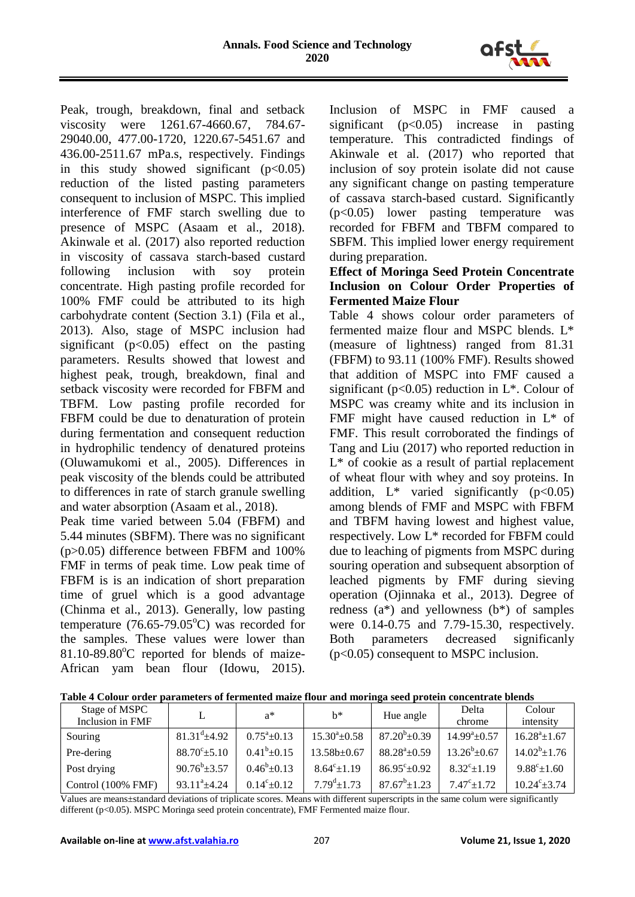

Peak, trough, breakdown, final and setback viscosity were 1261.67-4660.67, 784.67- 29040.00, 477.00-1720, 1220.67-5451.67 and 436.00-2511.67 mPa.s, respectively. Findings in this study showed significant  $(p<0.05)$ reduction of the listed pasting parameters consequent to inclusion of MSPC. This implied interference of FMF starch swelling due to presence of MSPC (Asaam et al., 2018). Akinwale et al. (2017) also reported reduction in viscosity of cassava starch-based custard following inclusion with soy protein concentrate. High pasting profile recorded for 100% FMF could be attributed to its high carbohydrate content (Section 3.1) (Fila et al., 2013). Also, stage of MSPC inclusion had significant ( $p<0.05$ ) effect on the pasting parameters. Results showed that lowest and highest peak, trough, breakdown, final and setback viscosity were recorded for FBFM and TBFM. Low pasting profile recorded for FBFM could be due to denaturation of protein during fermentation and consequent reduction in hydrophilic tendency of denatured proteins (Oluwamukomi et al., 2005). Differences in peak viscosity of the blends could be attributed to differences in rate of starch granule swelling and water absorption (Asaam et al., 2018).

Peak time varied between 5.04 (FBFM) and 5.44 minutes (SBFM). There was no significant (p>0.05) difference between FBFM and 100% FMF in terms of peak time. Low peak time of FBFM is is an indication of short preparation time of gruel which is a good advantage (Chinma et al., 2013). Generally, low pasting temperature  $(76.65-79.05^{\circ}C)$  was recorded for the samples. These values were lower than  $81.10-89.80^{\circ}$ C reported for blends of maize-African yam bean flour (Idowu, 2015). Inclusion of MSPC in FMF caused a significant ( $p<0.05$ ) increase in pasting temperature. This contradicted findings of Akinwale et al. (2017) who reported that inclusion of soy protein isolate did not cause any significant change on pasting temperature of cassava starch-based custard. Significantly (p<0.05) lower pasting temperature was recorded for FBFM and TBFM compared to SBFM. This implied lower energy requirement during preparation.

# **Effect of Moringa Seed Protein Concentrate Inclusion on Colour Order Properties of Fermented Maize Flour**

Table 4 shows colour order parameters of fermented maize flour and MSPC blends. L\* (measure of lightness) ranged from 81.31 (FBFM) to 93.11 (100% FMF). Results showed that addition of MSPC into FMF caused a significant ( $p<0.05$ ) reduction in L<sup>\*</sup>. Colour of MSPC was creamy white and its inclusion in FMF might have caused reduction in L\* of FMF. This result corroborated the findings of Tang and Liu (2017) who reported reduction in L\* of cookie as a result of partial replacement of wheat flour with whey and soy proteins. In addition,  $L^*$  varied significantly ( $p<0.05$ ) among blends of FMF and MSPC with FBFM and TBFM having lowest and highest value, respectively. Low L\* recorded for FBFM could due to leaching of pigments from MSPC during souring operation and subsequent absorption of leached pigments by FMF during sieving operation (Ojinnaka et al., 2013). Degree of redness  $(a^*)$  and yellowness  $(b^*)$  of samples were 0.14-0.75 and 7.79-15.30, respectively. Both parameters decreased significanly (p<0.05) consequent to MSPC inclusion.

| Stage of MSPC      |                             | $a^*$                 | $h^*$                   | Hue angle                    | Delta                        | Colour                 |
|--------------------|-----------------------------|-----------------------|-------------------------|------------------------------|------------------------------|------------------------|
| Inclusion in FMF   |                             |                       |                         |                              | chrome                       | intensity              |
| Souring            | $81.31^{\text{d}} \pm 4.92$ | $0.75^{\circ}$ ± 0.13 | $15.30^{\circ}$ ±0.58   | $87.20^{b} \pm 0.39$         | $14.99^{\mathrm{a}}\pm 0.57$ | $16.28^a \pm 1.67$     |
| Pre-dering         | $88.70^{\circ} \pm 5.10$    | $0.41^b \pm 0.15$     | 13.58b±0.67             | $88.28^{\mathrm{a}}\pm 0.59$ | $13.26^b \pm 0.67$           | $14.02^b \pm 1.76$     |
| Post drying        | $90.76^b \pm 3.57$          | $0.46^b \pm 0.13$     | $8.64^{\circ} \pm 1.19$ | $86.95^{\circ}$ ± 0.92       | $8.32^{\circ} \pm 1.19$      | $9.88^{\circ}$ ±1.60   |
| Control (100% FMF) | $93.11^a \pm 4.24$          | $0.14^{\circ}$ ± 0.12 | $7.79^{\rm d}$ ±1.73    | $87.67^b \pm 1.23$           | $7.47^{\circ}$ ±1.72         | $10.24^{\circ}$ ± 3.74 |

**Table 4 Colour order parameters of fermented maize flour and moringa seed protein concentrate blends**

Values are means±standard deviations of triplicate scores. Means with different superscripts in the same colum were significantly different (p<0.05). MSPC Moringa seed protein concentrate), FMF Fermented maize flour.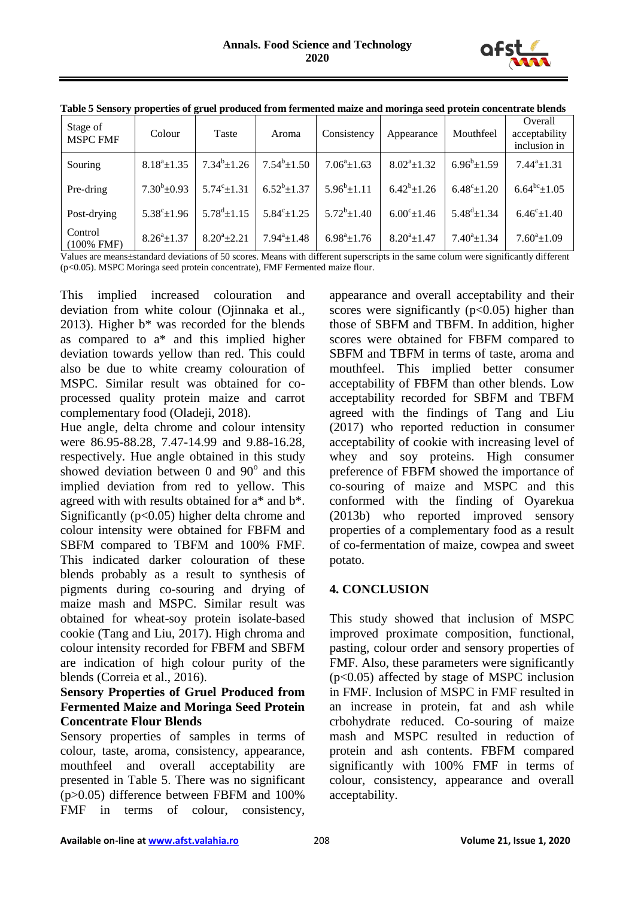

| Stage of<br><b>MSPC FMF</b> | Colour                     | Taste                | Aroma                   | Consistency               | Appearance            | Mouthfeel            | Overall<br>acceptability<br>inclusion in |
|-----------------------------|----------------------------|----------------------|-------------------------|---------------------------|-----------------------|----------------------|------------------------------------------|
| Souring                     | $8.18^a \pm 1.35$          | $7.34^b \pm 1.26$    | $7.54^b \pm 1.50$       | $7.06^a \pm 1.63$         | $8.02^a \pm 1.32$     | $6.96^b \pm 1.59$    | $7.44^a \pm 1.31$                        |
| Pre-dring                   | $7.30^b \pm 0.93$          | $5.74^{\circ}$ ±1.31 | $6.52^b \pm 1.37$       | $5.96^b \pm 1.11$         | $6.42^b \pm 1.26$     | $6.48^{\circ}$ ±1.20 | $6.64^{bc} \pm 1.05$                     |
| Post-drying                 | $5.38^{\circ}$ ±1.96       | $5.78^{\rm d}$ ±1.15 | $5.84^{\circ} \pm 1.25$ | $5.72^b \pm 1.40$         | $6.00^{\circ}$ ± 1.46 | $5.48^{\rm d}$ ±1.34 | $6.46^{\circ}$ ±1.40                     |
| Control<br>$(100\%$ FMF)    | $8.26^{\mathrm{a}} + 1.37$ | $8.20^a \pm 2.21$    | $7.94^a \pm 1.48$       | $6.98^{\mathrm{a}}$ ±1.76 | $8.20^a \pm 1.47$     | $7.40^a \pm 1.34$    | $7.60^a \pm 1.09$                        |

|  |  | Table 5 Sensory properties of gruel produced from fermented maize and moringa seed protein concentrate blends |
|--|--|---------------------------------------------------------------------------------------------------------------|
|  |  |                                                                                                               |
|  |  |                                                                                                               |
|  |  |                                                                                                               |

Values are means±standard deviations of 50 scores. Means with different superscripts in the same colum were significantly different (p<0.05). MSPC Moringa seed protein concentrate), FMF Fermented maize flour.

This implied increased colouration and deviation from white colour (Ojinnaka et al., 2013). Higher  $b^*$  was recorded for the blends as compared to a\* and this implied higher deviation towards yellow than red. This could also be due to white creamy colouration of MSPC. Similar result was obtained for coprocessed quality protein maize and carrot complementary food (Oladeji, 2018).

Hue angle, delta chrome and colour intensity were 86.95-88.28, 7.47-14.99 and 9.88-16.28, respectively. Hue angle obtained in this study showed deviation between  $0$  and  $90^\circ$  and this implied deviation from red to yellow. This agreed with with results obtained for a\* and b\*. Significantly  $(p<0.05)$  higher delta chrome and colour intensity were obtained for FBFM and SBFM compared to TBFM and 100% FMF. This indicated darker colouration of these blends probably as a result to synthesis of pigments during co-souring and drying of maize mash and MSPC. Similar result was obtained for wheat-soy protein isolate-based cookie (Tang and Liu, 2017). High chroma and colour intensity recorded for FBFM and SBFM are indication of high colour purity of the blends (Correia et al., 2016).

# **Sensory Properties of Gruel Produced from Fermented Maize and Moringa Seed Protein Concentrate Flour Blends**

Sensory properties of samples in terms of colour, taste, aroma, consistency, appearance, mouthfeel and overall acceptability are presented in Table 5. There was no significant (p>0.05) difference between FBFM and 100% FMF in terms of colour, consistency,

appearance and overall acceptability and their scores were significantly  $(p<0.05)$  higher than those of SBFM and TBFM. In addition, higher scores were obtained for FBFM compared to SBFM and TBFM in terms of taste, aroma and mouthfeel. This implied better consumer acceptability of FBFM than other blends. Low acceptability recorded for SBFM and TBFM agreed with the findings of Tang and Liu (2017) who reported reduction in consumer acceptability of cookie with increasing level of whey and soy proteins. High consumer preference of FBFM showed the importance of co-souring of maize and MSPC and this conformed with the finding of Oyarekua (2013b) who reported improved sensory properties of a complementary food as a result of co-fermentation of maize, cowpea and sweet potato.

# **4. CONCLUSION**

This study showed that inclusion of MSPC improved proximate composition, functional, pasting, colour order and sensory properties of FMF. Also, these parameters were significantly (p<0.05) affected by stage of MSPC inclusion in FMF. Inclusion of MSPC in FMF resulted in an increase in protein, fat and ash while crbohydrate reduced. Co-souring of maize mash and MSPC resulted in reduction of protein and ash contents. FBFM compared significantly with 100% FMF in terms of colour, consistency, appearance and overall acceptability.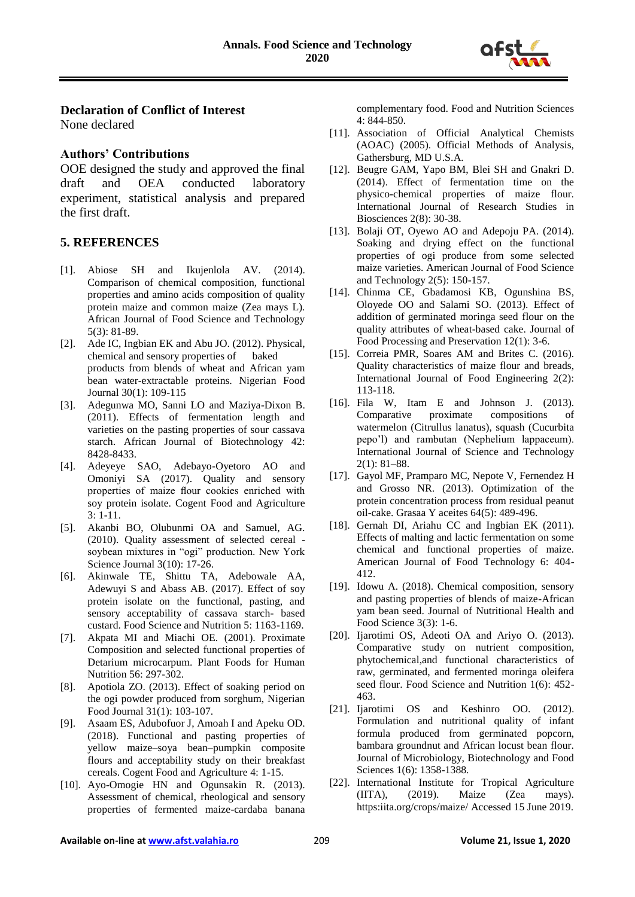

#### **Declaration of Conflict of Interest**

None declared

#### **Authors' Contributions**

OOE designed the study and approved the final draft and OEA conducted laboratory experiment, statistical analysis and prepared the first draft.

#### **5. REFERENCES**

- [1]. Abiose SH and Ikujenlola AV. (2014). Comparison of chemical composition, functional properties and amino acids composition of quality protein maize and common maize (Zea mays L). African Journal of Food Science and Technology 5(3): 81-89.
- [2]. Ade IC, Ingbian EK and Abu JO. (2012). Physical, chemical and sensory properties of baked products from blends of wheat and African yam bean water-extractable proteins. Nigerian Food Journal 30(1): 109-115
- [3]. Adegunwa MO, Sanni LO and Maziya-Dixon B. (2011). Effects of fermentation length and varieties on the pasting properties of sour cassava starch. African Journal of Biotechnology 42: 8428-8433.
- [4]. Adeyeye SAO, Adebayo-Oyetoro AO and Omoniyi SA (2017). Quality and sensory properties of maize flour cookies enriched with soy protein isolate. Cogent Food and Agriculture 3: 1-11.
- [5]. Akanbi BO, Olubunmi OA and Samuel, AG. (2010). Quality assessment of selected cereal soybean mixtures in "ogi" production. New York Science Journal 3(10): 17-26.
- [6]. Akinwale TE, Shittu TA, Adebowale AA, Adewuyi S and Abass AB. (2017). Effect of soy protein isolate on the functional, pasting, and sensory acceptability of cassava starch- based custard. Food Science and Nutrition 5: 1163-1169.
- [7]. Akpata MI and Miachi OE. (2001). Proximate Composition and selected functional properties of Detarium microcarpum. Plant Foods for Human Nutrition 56: 297-302.
- [8]. Apotiola ZO. (2013). Effect of soaking period on the ogi powder produced from sorghum, Nigerian Food Journal 31(1): 103-107.
- [9]. Asaam ES, Adubofuor J, Amoah I and Apeku OD. (2018). Functional and pasting properties of yellow maize–soya bean–pumpkin composite flours and acceptability study on their breakfast cereals. Cogent Food and Agriculture 4: 1-15.
- [10]. Ayo-Omogie HN and Ogunsakin R. (2013). Assessment of chemical, rheological and sensory properties of fermented maize-cardaba banana

complementary food. Food and Nutrition Sciences 4: 844-850.

- [11]. Association of Official Analytical Chemists (AOAC) (2005). Official Methods of Analysis, Gathersburg, MD U.S.A.
- [12]. Beugre GAM, Yapo BM, Blei SH and Gnakri D. (2014). Effect of fermentation time on the physico-chemical properties of maize flour. International Journal of Research Studies in Biosciences 2(8): 30-38.
- [13]. Bolaji OT, Oyewo AO and Adepoju PA. (2014). Soaking and drying effect on the functional properties of ogi produce from some selected maize varieties. American Journal of Food Science and Technology 2(5): 150-157.
- [14]. Chinma CE, Gbadamosi KB, Ogunshina BS, Oloyede OO and Salami SO. (2013). Effect of addition of germinated moringa seed flour on the quality attributes of wheat-based cake. Journal of Food Processing and Preservation 12(1): 3-6.
- [15]. Correia PMR, Soares AM and Brites C. (2016). Quality characteristics of maize flour and breads, International Journal of Food Engineering 2(2): 113-118.
- [16]. Fila W, Itam E and Johnson J. (2013). Comparative proximate compositions of watermelon (Citrullus lanatus), squash (Cucurbita pepo'l) and rambutan (Nephelium lappaceum). International Journal of Science and Technology 2(1): 81–88.
- [17]. Gayol MF, Pramparo MC, Nepote V, Fernendez H and Grosso NR. (2013). Optimization of the protein concentration process from residual peanut oil-cake. Grasaa Y aceites 64(5): 489-496.
- [18]. Gernah DI, Ariahu CC and Ingbian EK (2011). Effects of malting and lactic fermentation on some chemical and functional properties of maize. American Journal of Food Technology 6: 404- 412.
- [19]. Idowu A. (2018). Chemical composition, sensory and pasting properties of blends of maize-African yam bean seed. Journal of Nutritional Health and Food Science 3(3): 1-6.
- [20]. Ijarotimi OS, Adeoti OA and Ariyo O. (2013). Comparative study on nutrient composition, phytochemical,and functional characteristics of raw, germinated, and fermented moringa oleifera seed flour. Food Science and Nutrition 1(6): 452- 463.
- [21]. Ijarotimi OS and Keshinro OO. (2012). Formulation and nutritional quality of infant formula produced from germinated popcorn, bambara groundnut and African locust bean flour. Journal of Microbiology, Biotechnology and Food Sciences 1(6): 1358-1388.
- [22]. International Institute for Tropical Agriculture (IITA), (2019). Maize (Zea mays). https:iita.org/crops/maize/ Accessed 15 June 2019.